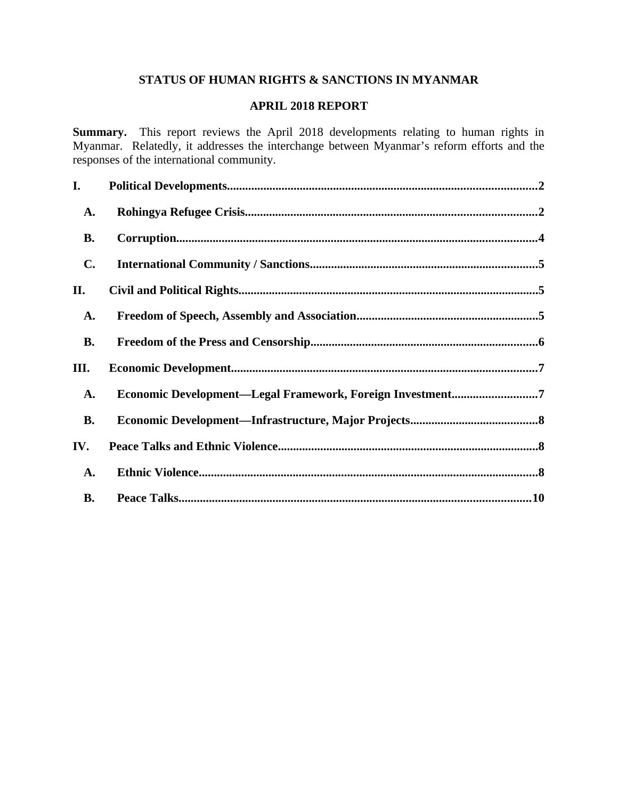# **STATUS OF HUMAN RIGHTS & SANCTIONS IN MYANMAR**

# **APRIL 2018 REPORT**

**Summary.** This report reviews the April 2018 developments relating to human rights in Myanmar. Relatedly, it addresses the interchange between Myanmar's reform efforts and the responses of the international community.

| I.             |                                                           |  |
|----------------|-----------------------------------------------------------|--|
| <b>A.</b>      |                                                           |  |
| В.             |                                                           |  |
| $\mathbf{C}$ . |                                                           |  |
| II.            |                                                           |  |
| <b>A.</b>      |                                                           |  |
| <b>B.</b>      |                                                           |  |
| III.           |                                                           |  |
| A.             | Economic Development-Legal Framework, Foreign Investment7 |  |
| <b>B.</b>      |                                                           |  |
| IV.            |                                                           |  |
| A.             |                                                           |  |
| <b>B.</b>      |                                                           |  |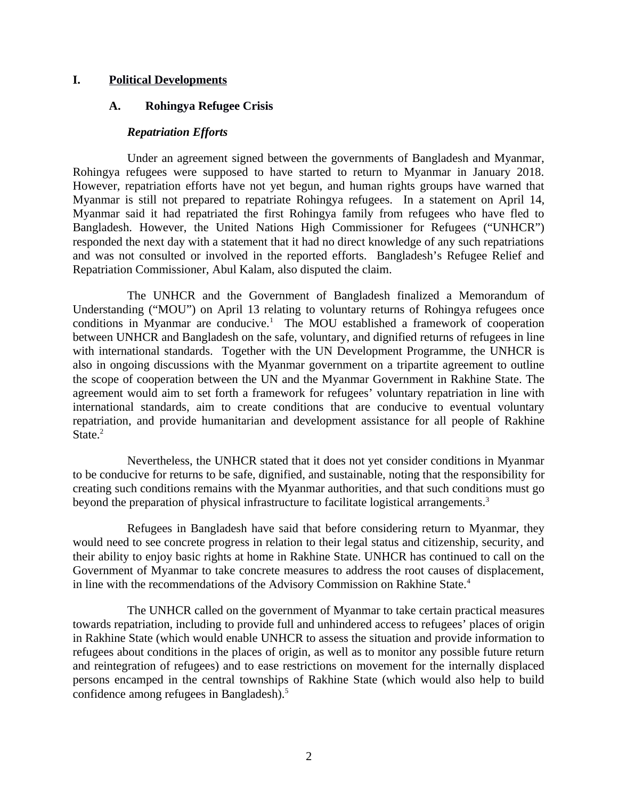## **I. Political Developments**

## <span id="page-1-0"></span>**A. Rohingya Refugee Crisis**

## <span id="page-1-1"></span>*Repatriation Efforts*

Under an agreement signed between the governments of Bangladesh and Myanmar, Rohingya refugees were supposed to have started to return to Myanmar in January 2018. However, repatriation efforts have not yet begun, and human rights groups have warned that Myanmar is still not prepared to repatriate Rohingya refugees. In a statement on April 14, Myanmar said it had repatriated the first Rohingya family from refugees who have fled to Bangladesh. However, the United Nations High Commissioner for Refugees ("UNHCR") responded the next day with a statement that it had no direct knowledge of any such repatriations and was not consulted or involved in the reported efforts. Bangladesh's Refugee Relief and Repatriation Commissioner, Abul Kalam, also disputed the claim.

The UNHCR and the Government of Bangladesh finalized a Memorandum of Understanding ("MOU") on April 13 relating to voluntary returns of Rohingya refugees once conditions in Myanmar are conducive.<sup>1</sup> The MOU established a framework of cooperation between UNHCR and Bangladesh on the safe, voluntary, and dignified returns of refugees in line with international standards. Together with the UN Development Programme, the UNHCR is also in ongoing discussions with the Myanmar government on a tripartite agreement to outline the scope of cooperation between the UN and the Myanmar Government in Rakhine State. The agreement would aim to set forth a framework for refugees' voluntary repatriation in line with international standards, aim to create conditions that are conducive to eventual voluntary repatriation, and provide humanitarian and development assistance for all people of Rakhine State. $2$ 

Nevertheless, the UNHCR stated that it does not yet consider conditions in Myanmar to be conducive for returns to be safe, dignified, and sustainable, noting that the responsibility for creating such conditions remains with the Myanmar authorities, and that such conditions must go beyond the preparation of physical infrastructure to facilitate logistical arrangements.<sup>3</sup>

Refugees in Bangladesh have said that before considering return to Myanmar, they would need to see concrete progress in relation to their legal status and citizenship, security, and their ability to enjoy basic rights at home in Rakhine State. UNHCR has continued to call on the Government of Myanmar to take concrete measures to address the root causes of displacement, in line with the recommendations of the Advisory Commission on Rakhine State.<sup>4</sup>

The UNHCR called on the government of Myanmar to take certain practical measures towards repatriation, including to provide full and unhindered access to refugees' places of origin in Rakhine State (which would enable UNHCR to assess the situation and provide information to refugees about conditions in the places of origin, as well as to monitor any possible future return and reintegration of refugees) and to ease restrictions on movement for the internally displaced persons encamped in the central townships of Rakhine State (which would also help to build confidence among refugees in Bangladesh).<sup>5</sup>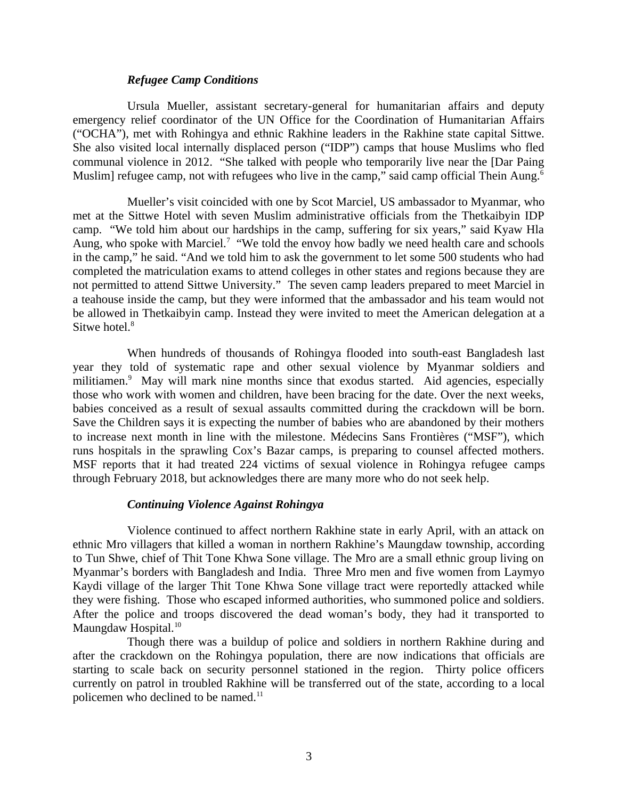#### *Refugee Camp Conditions*

Ursula Mueller, assistant secretary-general for humanitarian affairs and deputy emergency relief coordinator of the UN Office for the Coordination of Humanitarian Affairs ("OCHA"), met with Rohingya and ethnic Rakhine leaders in the Rakhine state capital Sittwe. She also visited local internally displaced person ("IDP") camps that house Muslims who fled communal violence in 2012. "She talked with people who temporarily live near the [Dar Paing Muslim] refugee camp, not with refugees who live in the camp," said camp official Thein Aung.<sup>6</sup>

Mueller's visit coincided with one by Scot Marciel, US ambassador to Myanmar, who met at the Sittwe Hotel with seven Muslim administrative officials from the Thetkaibyin IDP camp. "We told him about our hardships in the camp, suffering for six years," said Kyaw Hla Aung, who spoke with Marciel.<sup>7</sup> "We told the envoy how badly we need health care and schools in the camp," he said. "And we told him to ask the government to let some 500 students who had completed the matriculation exams to attend colleges in other states and regions because they are not permitted to attend Sittwe University." The seven camp leaders prepared to meet Marciel in a teahouse inside the camp, but they were informed that the ambassador and his team would not be allowed in Thetkaibyin camp. Instead they were invited to meet the American delegation at a Sitwe hotel.<sup>8</sup>

When hundreds of thousands of Rohingya flooded into south-east Bangladesh last year they told of systematic rape and other sexual violence by Myanmar soldiers and militiamen.<sup>9</sup> May will mark nine months since that exodus started. Aid agencies, especially those who work with women and children, have been bracing for the date. Over the next weeks, babies conceived as a result of sexual assaults committed during the crackdown will be born. Save the Children says it is expecting the number of babies who are abandoned by their mothers to increase next month in line with the milestone. Médecins Sans Frontières ("MSF"), which runs hospitals in the sprawling Cox's Bazar camps, is preparing to counsel affected mothers. MSF reports that it had treated 224 victims of sexual violence in Rohingya refugee camps through February 2018, but acknowledges there are many more who do not seek help.

#### *Continuing Violence Against Rohingya*

Violence continued to affect northern Rakhine state in early April, with an attack on ethnic Mro villagers that killed a woman in northern Rakhine's Maungdaw township, according to Tun Shwe, chief of Thit Tone Khwa Sone village. The Mro are a small ethnic group living on Myanmar's borders with Bangladesh and India. Three Mro men and five women from Laymyo Kaydi village of the larger Thit Tone Khwa Sone village tract were reportedly attacked while they were fishing. Those who escaped informed authorities, who summoned police and soldiers. After the police and troops discovered the dead woman's body, they had it transported to Maungdaw Hospital.<sup>10</sup>

Though there was a buildup of police and soldiers in northern Rakhine during and after the crackdown on the Rohingya population, there are now indications that officials are starting to scale back on security personnel stationed in the region. Thirty police officers currently on patrol in troubled Rakhine will be transferred out of the state, according to a local policemen who declined to be named.<sup>11</sup>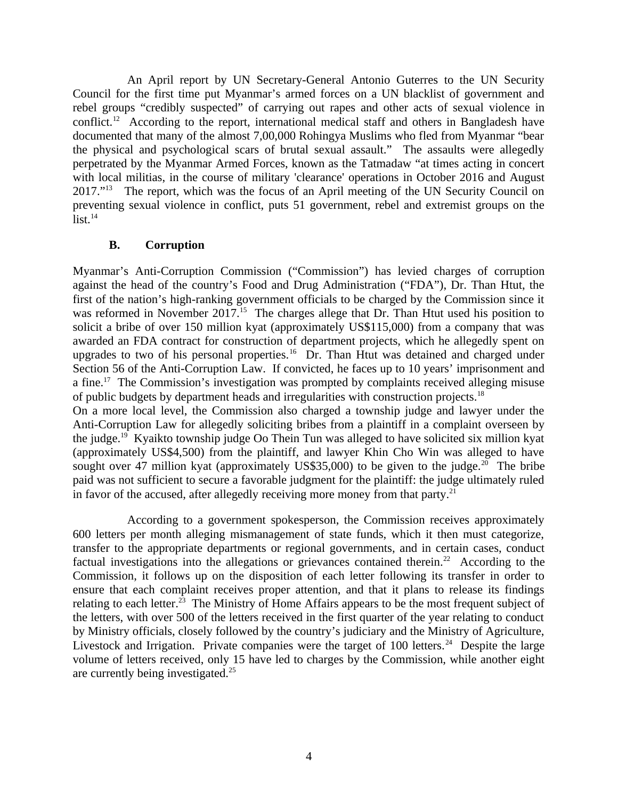An April report by UN Secretary-General Antonio Guterres to the UN Security Council for the first time put Myanmar's armed forces on a UN blacklist of government and rebel groups "credibly suspected" of carrying out rapes and other acts of sexual violence in conflict.<sup>12</sup> According to the report, international medical staff and others in Bangladesh have documented that many of the almost 7,00,000 Rohingya Muslims who fled from Myanmar "bear the physical and psychological scars of brutal sexual assault." The assaults were allegedly perpetrated by the Myanmar Armed Forces, known as the Tatmadaw "at times acting in concert with local militias, in the course of military 'clearance' operations in October 2016 and August 2017."<sup>13</sup> The report, which was the focus of an April meeting of the UN Security Council on preventing sexual violence in conflict, puts 51 government, rebel and extremist groups on the  $list.<sup>14</sup>$ 

## <span id="page-3-0"></span>**B. Corruption**

Myanmar's Anti-Corruption Commission ("Commission") has levied charges of corruption against the head of the country's Food and Drug Administration ("FDA"), Dr. Than Htut, the first of the nation's high-ranking government officials to be charged by the Commission since it was reformed in November 2017.<sup>15</sup> The charges allege that Dr. Than Htut used his position to solicit a bribe of over 150 million kyat (approximately US\$115,000) from a company that was awarded an FDA contract for construction of department projects, which he allegedly spent on upgrades to two of his personal properties.<sup>16</sup> Dr. Than Htut was detained and charged under Section 56 of the Anti-Corruption Law. If convicted, he faces up to 10 years' imprisonment and a fine.<sup>17</sup> The Commission's investigation was prompted by complaints received alleging misuse of public budgets by department heads and irregularities with construction projects.<sup>18</sup> On a more local level, the Commission also charged a township judge and lawyer under the Anti-Corruption Law for allegedly soliciting bribes from a plaintiff in a complaint overseen by

the judge.<sup>19</sup> Kyaikto township judge Oo Thein Tun was alleged to have solicited six million kyat (approximately US\$4,500) from the plaintiff, and lawyer Khin Cho Win was alleged to have sought over 47 million kyat (approximately US\$35,000) to be given to the judge.<sup>20</sup> The bribe paid was not sufficient to secure a favorable judgment for the plaintiff: the judge ultimately ruled in favor of the accused, after allegedly receiving more money from that party. $^{21}$ 

According to a government spokesperson, the Commission receives approximately 600 letters per month alleging mismanagement of state funds, which it then must categorize, transfer to the appropriate departments or regional governments, and in certain cases, conduct factual investigations into the allegations or grievances contained therein.<sup>22</sup> According to the Commission, it follows up on the disposition of each letter following its transfer in order to ensure that each complaint receives proper attention, and that it plans to release its findings relating to each letter.<sup>23</sup> The Ministry of Home Affairs appears to be the most frequent subject of the letters, with over 500 of the letters received in the first quarter of the year relating to conduct by Ministry officials, closely followed by the country's judiciary and the Ministry of Agriculture, Livestock and Irrigation. Private companies were the target of  $100$  letters.<sup>24</sup> Despite the large volume of letters received, only 15 have led to charges by the Commission, while another eight are currently being investigated.<sup>25</sup>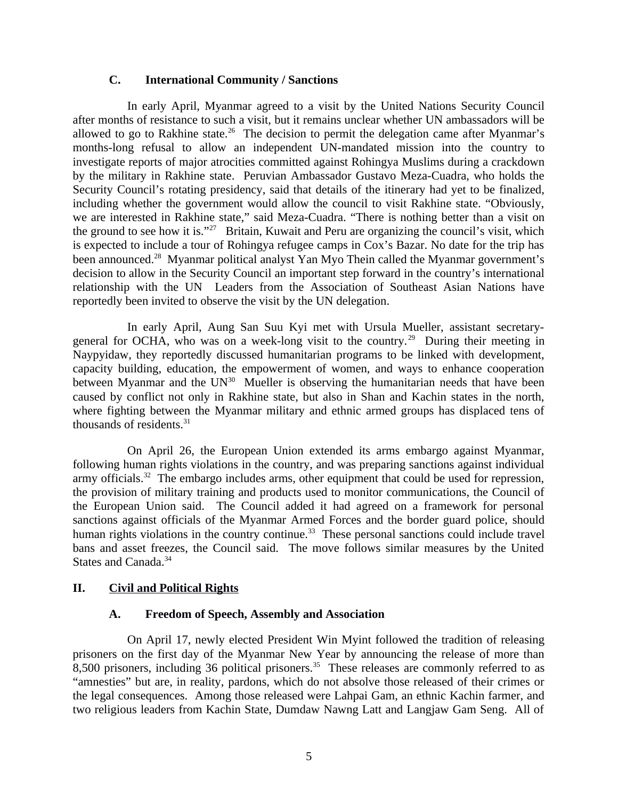### <span id="page-4-2"></span>**C. International Community / Sanctions**

In early April, Myanmar agreed to a visit by the United Nations Security Council after months of resistance to such a visit, but it remains unclear whether UN ambassadors will be allowed to go to Rakhine state.<sup>26</sup> The decision to permit the delegation came after Myanmar's months-long refusal to allow an independent UN-mandated mission into the country to investigate reports of major atrocities committed against Rohingya Muslims during a crackdown by the military in Rakhine state. Peruvian Ambassador Gustavo Meza-Cuadra, who holds the Security Council's rotating presidency, said that details of the itinerary had yet to be finalized, including whether the government would allow the council to visit Rakhine state. "Obviously, we are interested in Rakhine state," said Meza-Cuadra. "There is nothing better than a visit on the ground to see how it is."<sup>27</sup> Britain, Kuwait and Peru are organizing the council's visit, which is expected to include a tour of Rohingya refugee camps in Cox's Bazar. No date for the trip has been announced.<sup>28</sup> Myanmar political analyst Yan Myo Thein called the Myanmar government's decision to allow in the Security Council an important step forward in the country's international relationship with the UN Leaders from the Association of Southeast Asian Nations have reportedly been invited to observe the visit by the UN delegation.

In early April, Aung San Suu Kyi met with Ursula Mueller, assistant secretarygeneral for OCHA, who was on a week-long visit to the country.<sup>29</sup> During their meeting in Naypyidaw, they reportedly discussed humanitarian programs to be linked with development, capacity building, education, the empowerment of women, and ways to enhance cooperation between Myanmar and the  $UN^{30}$  Mueller is observing the humanitarian needs that have been caused by conflict not only in Rakhine state, but also in Shan and Kachin states in the north, where fighting between the Myanmar military and ethnic armed groups has displaced tens of thousands of residents. $31$ 

On April 26, the European Union extended its arms embargo against Myanmar, following human rights violations in the country, and was preparing sanctions against individual army officials. $32$  The embargo includes arms, other equipment that could be used for repression, the provision of military training and products used to monitor communications, the Council of the European Union said. The Council added it had agreed on a framework for personal sanctions against officials of the Myanmar Armed Forces and the border guard police, should human rights violations in the country continue.<sup>33</sup> These personal sanctions could include travel bans and asset freezes, the Council said. The move follows similar measures by the United States and Canada.<sup>34</sup>

# **II. Civil and Political Rights**

## <span id="page-4-1"></span><span id="page-4-0"></span>**A. Freedom of Speech, Assembly and Association**

On April 17, newly elected President Win Myint followed the tradition of releasing prisoners on the first day of the Myanmar New Year by announcing the release of more than 8,500 prisoners, including 36 political prisoners.<sup>35</sup> These releases are commonly referred to as "amnesties" but are, in reality, pardons, which do not absolve those released of their crimes or the legal consequences. Among those released were Lahpai Gam, an ethnic Kachin farmer, and two religious leaders from Kachin State, Dumdaw Nawng Latt and Langjaw Gam Seng. All of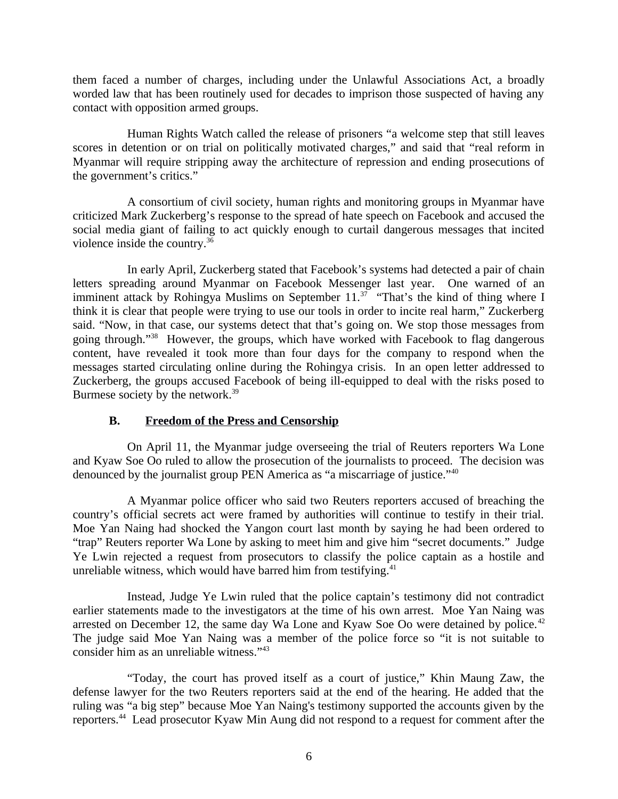them faced a number of charges, including under the Unlawful Associations Act, a broadly worded law that has been routinely used for decades to imprison those suspected of having any contact with opposition armed groups.

Human Rights Watch called the release of prisoners "a welcome step that still leaves scores in detention or on trial on politically motivated charges," and said that "real reform in Myanmar will require stripping away the architecture of repression and ending prosecutions of the government's critics."

A consortium of civil society, human rights and monitoring groups in Myanmar have criticized Mark Zuckerberg's response to the spread of hate speech on Facebook and accused the social media giant of failing to act quickly enough to curtail dangerous messages that incited violence inside the country.<sup>36</sup>

In early April, Zuckerberg stated that Facebook's systems had detected a pair of chain letters spreading around Myanmar on Facebook Messenger last year. One warned of an imminent attack by Rohingya Muslims on September 11.<sup>37</sup> "That's the kind of thing where I think it is clear that people were trying to use our tools in order to incite real harm," Zuckerberg said. "Now, in that case, our systems detect that that's going on. We stop those messages from going through."<sup>38</sup> However, the groups, which have worked with Facebook to flag dangerous content, have revealed it took more than four days for the company to respond when the messages started circulating online during the Rohingya crisis. In an open letter addressed to Zuckerberg, the groups accused Facebook of being ill-equipped to deal with the risks posed to Burmese society by the network.<sup>39</sup>

## <span id="page-5-0"></span>**B. Freedom of the Press and Censorship**

On April 11, the Myanmar judge overseeing the trial of Reuters reporters Wa Lone and Kyaw Soe Oo ruled to allow the prosecution of the journalists to proceed. The decision was denounced by the journalist group PEN America as "a miscarriage of justice."<sup>40</sup>

A Myanmar police officer who said two Reuters reporters accused of breaching the country's official secrets act were framed by authorities will continue to testify in their trial. Moe Yan Naing had shocked the Yangon court last month by saying he had been ordered to "trap" Reuters reporter Wa Lone by asking to meet him and give him "secret documents." Judge Ye Lwin rejected a request from prosecutors to classify the police captain as a hostile and unreliable witness, which would have barred him from testifying. $41$ 

Instead, Judge Ye Lwin ruled that the police captain's testimony did not contradict earlier statements made to the investigators at the time of his own arrest. Moe Yan Naing was arrested on December 12, the same day Wa Lone and Kyaw Soe Oo were detained by police. $42$ The judge said Moe Yan Naing was a member of the police force so "it is not suitable to consider him as an unreliable witness."<sup>43</sup>

"Today, the court has proved itself as a court of justice," Khin Maung Zaw, the defense lawyer for the two Reuters reporters said at the end of the hearing. He added that the ruling was "a big step" because Moe Yan Naing's testimony supported the accounts given by the reporters.<sup>44</sup> Lead prosecutor Kyaw Min Aung did not respond to a request for comment after the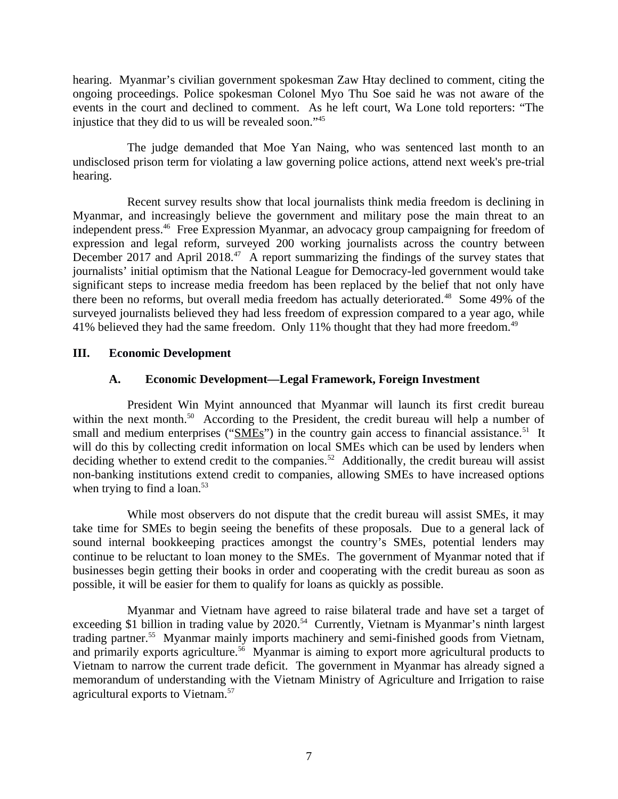hearing. Myanmar's civilian government spokesman Zaw Htay declined to comment, citing the ongoing proceedings. Police spokesman Colonel Myo Thu Soe said he was not aware of the events in the court and declined to comment. As he left court, Wa Lone told reporters: "The injustice that they did to us will be revealed soon."<sup>45</sup>

The judge demanded that Moe Yan Naing, who was sentenced last month to an undisclosed prison term for violating a law governing police actions, attend next week's pre-trial hearing.

Recent survey results show that local journalists think media freedom is declining in Myanmar, and increasingly believe the government and military pose the main threat to an independent press.<sup>46</sup> Free Expression Myanmar, an advocacy group campaigning for freedom of expression and legal reform, surveyed 200 working journalists across the country between December 2017 and April 2018.<sup>47</sup> A report summarizing the findings of the survey states that journalists' initial optimism that the National League for Democracy-led government would take significant steps to increase media freedom has been replaced by the belief that not only have there been no reforms, but overall media freedom has actually deteriorated.<sup>48</sup> Some 49% of the surveyed journalists believed they had less freedom of expression compared to a year ago, while 41% believed they had the same freedom. Only 11% thought that they had more freedom.<sup>49</sup>

# **III. Economic Development**

# <span id="page-6-1"></span><span id="page-6-0"></span>**A. Economic Development—Legal Framework, Foreign Investment**

President Win Myint announced that Myanmar will launch its first credit bureau within the next month.<sup>50</sup> According to the President, the credit bureau will help a number of small and medium enterprises (" $SMEs$ ") in the country gain access to financial assistance.<sup>51</sup> It will do this by collecting credit information on local SMEs which can be used by lenders when deciding whether to extend credit to the companies.<sup>52</sup> Additionally, the credit bureau will assist non-banking institutions extend credit to companies, allowing SMEs to have increased options when trying to find a loan. $53$ 

While most observers do not dispute that the credit bureau will assist SMEs, it may take time for SMEs to begin seeing the benefits of these proposals. Due to a general lack of sound internal bookkeeping practices amongst the country's SMEs, potential lenders may continue to be reluctant to loan money to the SMEs. The government of Myanmar noted that if businesses begin getting their books in order and cooperating with the credit bureau as soon as possible, it will be easier for them to qualify for loans as quickly as possible.

Myanmar and Vietnam have agreed to raise bilateral trade and have set a target of exceeding \$1 billion in trading value by 2020.<sup>54</sup> Currently, Vietnam is Myanmar's ninth largest trading partner.<sup>55</sup> Myanmar mainly imports machinery and semi-finished goods from Vietnam, and primarily exports agriculture.<sup>56</sup> Myanmar is aiming to export more agricultural products to Vietnam to narrow the current trade deficit. The government in Myanmar has already signed a memorandum of understanding with the Vietnam Ministry of Agriculture and Irrigation to raise agricultural exports to Vietnam.<sup>57</sup>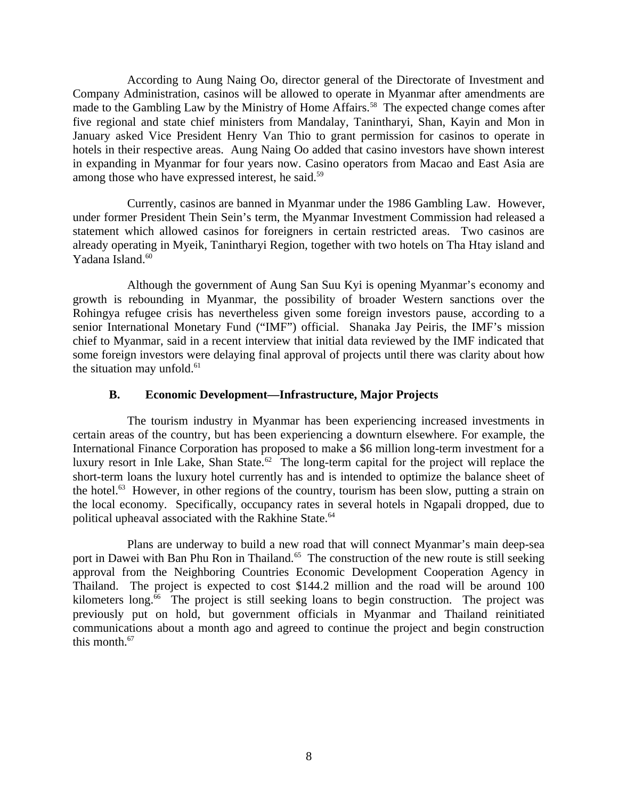According to Aung Naing Oo, director general of the Directorate of Investment and Company Administration, casinos will be allowed to operate in Myanmar after amendments are made to the Gambling Law by the Ministry of Home Affairs.<sup>58</sup> The expected change comes after five regional and state chief ministers from Mandalay, Tanintharyi, Shan, Kayin and Mon in January asked Vice President Henry Van Thio to grant permission for casinos to operate in hotels in their respective areas. Aung Naing Oo added that casino investors have shown interest in expanding in Myanmar for four years now. Casino operators from Macao and East Asia are among those who have expressed interest, he said.<sup>59</sup>

Currently, casinos are banned in Myanmar under the 1986 Gambling Law. However, under former President Thein Sein's term, the Myanmar Investment Commission had released a statement which allowed casinos for foreigners in certain restricted areas. Two casinos are already operating in Myeik, Tanintharyi Region, together with two hotels on Tha Htay island and Yadana Island.<sup>60</sup>

Although the government of Aung San Suu Kyi is opening Myanmar's economy and growth is rebounding in Myanmar, the possibility of broader Western sanctions over the Rohingya refugee crisis has nevertheless given some foreign investors pause, according to a senior International Monetary Fund ("IMF") official. Shanaka Jay Peiris, the IMF's mission chief to Myanmar, said in a recent interview that initial data reviewed by the IMF indicated that some foreign investors were delaying final approval of projects until there was clarity about how the situation may unfold. $61$ 

## <span id="page-7-0"></span>**B. Economic Development—Infrastructure, Major Projects**

The tourism industry in Myanmar has been experiencing increased investments in certain areas of the country, but has been experiencing a downturn elsewhere. For example, the International Finance Corporation has proposed to make a \$6 million long-term investment for a luxury resort in Inle Lake, Shan State.<sup>62</sup> The long-term capital for the project will replace the short-term loans the luxury hotel currently has and is intended to optimize the balance sheet of the hotel.<sup>63</sup> However, in other regions of the country, tourism has been slow, putting a strain on the local economy. Specifically, occupancy rates in several hotels in Ngapali dropped, due to political upheaval associated with the Rakhine State.<sup>64</sup>

Plans are underway to build a new road that will connect Myanmar's main deep-sea port in Dawei with Ban Phu Ron in Thailand.<sup>65</sup> The construction of the new route is still seeking approval from the Neighboring Countries Economic Development Cooperation Agency in Thailand. The project is expected to cost \$144.2 million and the road will be around 100 kilometers long. $66$  The project is still seeking loans to begin construction. The project was previously put on hold, but government officials in Myanmar and Thailand reinitiated communications about a month ago and agreed to continue the project and begin construction this month.<sup>67</sup>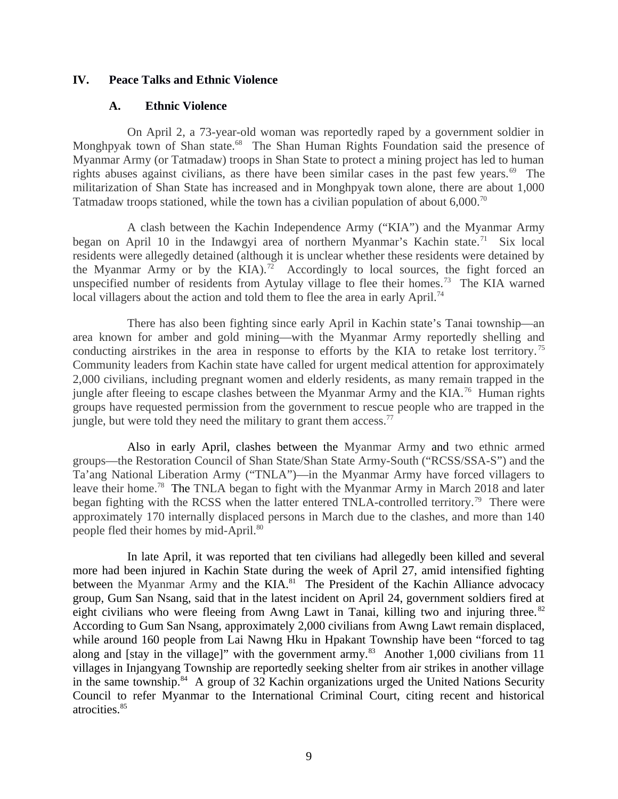### **IV. Peace Talks and Ethnic Violence**

### <span id="page-8-1"></span><span id="page-8-0"></span>**A. Ethnic Violence**

On April 2, a 73-year-old woman was reportedly raped by a government soldier in Monghpyak town of Shan state.<sup>68</sup> The Shan Human Rights Foundation said the presence of Myanmar Army (or Tatmadaw) troops in Shan State to protect a mining project has led to human rights abuses against civilians, as there have been similar cases in the past few years.<sup>69</sup> The militarization of Shan State has increased and in Monghpyak town alone, there are about 1,000 Tatmadaw troops stationed, while the town has a civilian population of about 6,000.<sup>70</sup>

A clash between the Kachin Independence Army ("KIA") and the Myanmar Army began on April 10 in the Indawgyi area of northern Myanmar's Kachin state.<sup>71</sup> Six local residents were allegedly detained (although it is unclear whether these residents were detained by the Myanmar Army or by the KIA).<sup>72</sup> Accordingly to local sources, the fight forced an unspecified number of residents from Aytulay village to flee their homes.<sup>73</sup> The KIA warned local villagers about the action and told them to flee the area in early April.<sup>74</sup>

There has also been fighting since early April in Kachin state's Tanai township—an area known for amber and gold mining—with the Myanmar Army reportedly shelling and conducting airstrikes in the area in response to efforts by the KIA to retake lost territory.<sup>75</sup> Community leaders from Kachin state have called for urgent medical attention for approximately 2,000 civilians, including pregnant women and elderly residents, as many remain trapped in the jungle after fleeing to escape clashes between the Myanmar Army and the KIA.<sup>76</sup> Human rights groups have requested permission from the government to rescue people who are trapped in the jungle, but were told they need the military to grant them access.<sup>77</sup>

Also in early April, clashes between the Myanmar Army and two ethnic armed groups—the Restoration Council of Shan State/Shan State Army-South ("RCSS/SSA-S") and the Ta'ang National Liberation Army ("TNLA")—in the Myanmar Army have forced villagers to leave their home.<sup>78</sup> The TNLA began to fight with the Myanmar Army in March 2018 and later began fighting with the RCSS when the latter entered TNLA-controlled territory.<sup>79</sup> There were approximately 170 internally displaced persons in March due to the clashes, and more than 140 people fled their homes by mid-April.<sup>80</sup>

In late April, it was reported that ten civilians had allegedly been killed and several more had been injured in Kachin State during the week of April 27, amid intensified fighting between the Myanmar Army and the  $KIA.<sup>81</sup>$  The President of the Kachin Alliance advocacy group, Gum San Nsang, said that in the latest incident on April 24, government soldiers fired at eight civilians who were fleeing from Awng Lawt in Tanai, killing two and injuring three.<sup>82</sup> According to Gum San Nsang, approximately 2,000 civilians from Awng Lawt remain displaced, while around 160 people from Lai Nawng Hku in Hpakant Township have been "forced to tag along and [stay in the village]" with the government army. $^{83}$  Another 1,000 civilians from 11 villages in Injangyang Township are reportedly seeking shelter from air strikes in another village in the same township. $84$  A group of 32 Kachin organizations urged the United Nations Security Council to refer Myanmar to the International Criminal Court, citing recent and historical atrocities.<sup>85</sup>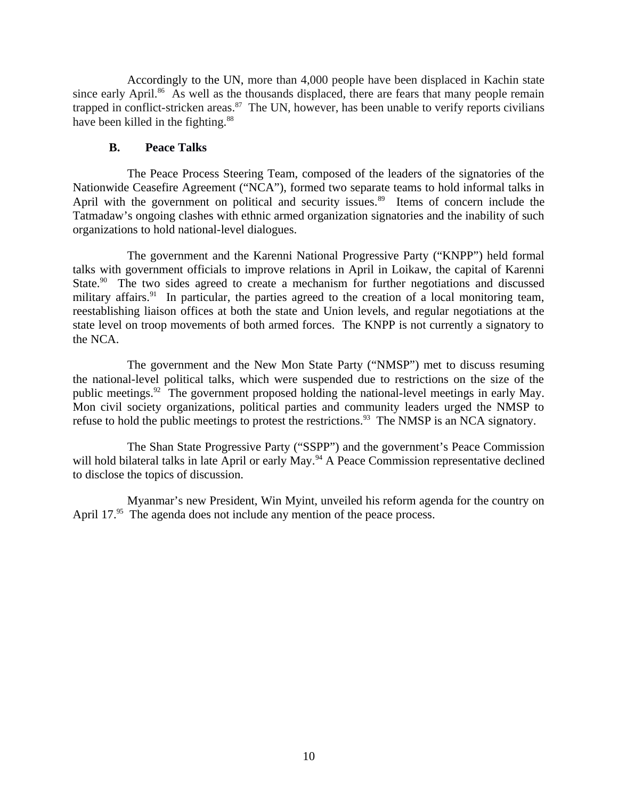Accordingly to the UN, more than 4,000 people have been displaced in Kachin state since early April. $86$  As well as the thousands displaced, there are fears that many people remain trapped in conflict-stricken areas. $87$  The UN, however, has been unable to verify reports civilians have been killed in the fighting. $88$ 

### <span id="page-9-0"></span>**B. Peace Talks**

The Peace Process Steering Team, composed of the leaders of the signatories of the Nationwide Ceasefire Agreement ("NCA"), formed two separate teams to hold informal talks in April with the government on political and security issues.<sup>89</sup> Items of concern include the Tatmadaw's ongoing clashes with ethnic armed organization signatories and the inability of such organizations to hold national-level dialogues.

The government and the Karenni National Progressive Party ("KNPP") held formal talks with government officials to improve relations in April in Loikaw, the capital of Karenni State.<sup>90</sup> The two sides agreed to create a mechanism for further negotiations and discussed military affairs. $91$  In particular, the parties agreed to the creation of a local monitoring team, reestablishing liaison offices at both the state and Union levels, and regular negotiations at the state level on troop movements of both armed forces. The KNPP is not currently a signatory to the NCA.

The government and the New Mon State Party ("NMSP") met to discuss resuming the national-level political talks, which were suspended due to restrictions on the size of the public meetings.<sup>92</sup> The government proposed holding the national-level meetings in early May. Mon civil society organizations, political parties and community leaders urged the NMSP to refuse to hold the public meetings to protest the restrictions.<sup>93</sup> The NMSP is an NCA signatory.

The Shan State Progressive Party ("SSPP") and the government's Peace Commission will hold bilateral talks in late April or early May.<sup>94</sup> A Peace Commission representative declined to disclose the topics of discussion.

Myanmar's new President, Win Myint, unveiled his reform agenda for the country on April 17.<sup>95</sup> The agenda does not include any mention of the peace process.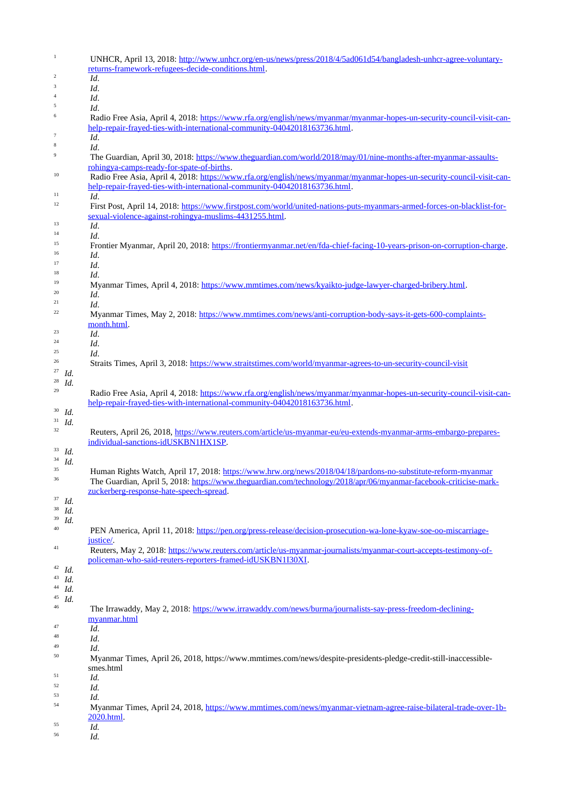| UNHCR, April 13, 2018: http://www.unhcr.org/en-us/news/press/2018/4/5ad061d54/bangladesh-unhcr-agree-voluntary-                |
|--------------------------------------------------------------------------------------------------------------------------------|
| returns-framework-refugees-decide-conditions.html.                                                                             |
| Id.                                                                                                                            |
| Id.                                                                                                                            |
| Id.                                                                                                                            |
| Id.<br>Radio Free Asia, April 4, 2018: https://www.rfa.org/english/news/myanmar/myanmar-hopes-un-security-council-visit-can-   |
| help-repair-frayed-ties-with-international-community-04042018163736.html.                                                      |
| Id.                                                                                                                            |
| Id.                                                                                                                            |
| The Guardian, April 30, 2018: https://www.theguardian.com/world/2018/may/01/nine-months-after-myanmar-assaults-                |
| rohingya-camps-ready-for-spate-of-births.                                                                                      |
| Radio Free Asia, April 4, 2018: https://www.rfa.org/english/news/myanmar/myanmar-hopes-un-security-council-visit-can-          |
| help-repair-frayed-ties-with-international-community-04042018163736.html.                                                      |
| Id.                                                                                                                            |
| First Post, April 14, 2018: https://www.firstpost.com/world/united-nations-puts-myanmars-armed-forces-on-blacklist-for-        |
| sexual-violence-against-rohingya-muslims-4431255.html.                                                                         |
|                                                                                                                                |
| Id.                                                                                                                            |
| Id.                                                                                                                            |
| Frontier Myanmar, April 20, 2018: https://frontiermyanmar.net/en/fda-chief-facing-10-years-prison-on-corruption-charge.        |
| Id.                                                                                                                            |
| Id.                                                                                                                            |
| Id.                                                                                                                            |
| Myanmar Times, April 4, 2018: https://www.mmtimes.com/news/kyaikto-judge-lawyer-charged-bribery.html.                          |
| Id.                                                                                                                            |
| Id.                                                                                                                            |
| Myanmar Times, May 2, 2018: https://www.mmtimes.com/news/anti-corruption-body-says-it-gets-600-complaints-                     |
|                                                                                                                                |
| month.html.                                                                                                                    |
| Id.                                                                                                                            |
| Id.                                                                                                                            |
| Id.                                                                                                                            |
| Straits Times, April 3, 2018: https://www.straitstimes.com/world/myanmar-agrees-to-un-security-council-visit                   |
|                                                                                                                                |
|                                                                                                                                |
| Radio Free Asia, April 4, 2018: https://www.rfa.org/english/news/myanmar/myanmar-hopes-un-security-council-visit-can-          |
| help-repair-frayed-ties-with-international-community-04042018163736.html.                                                      |
|                                                                                                                                |
|                                                                                                                                |
|                                                                                                                                |
| Reuters, April 26, 2018, https://www.reuters.com/article/us-myanmar-eu/eu-extends-myanmar-arms-embargo-prepares-               |
| individual-sanctions-idUSKBN1HX1SP.                                                                                            |
|                                                                                                                                |
|                                                                                                                                |
| Human Rights Watch, April 17, 2018: https://www.hrw.org/news/2018/04/18/pardons-no-substitute-reform-myanmar                   |
| The Guardian, April 5, 2018: https://www.theguardian.com/technology/2018/apr/06/myanmar-facebook-criticise-mark-               |
| zuckerberg-response-hate-speech-spread.                                                                                        |
|                                                                                                                                |
|                                                                                                                                |
|                                                                                                                                |
|                                                                                                                                |
| PEN America, April 11, 2018: https://pen.org/press-release/decision-prosecution-wa-lone-kyaw-soe-oo-miscarriage-               |
| justice/.                                                                                                                      |
| Reuters, May 2, 2018: https://www.reuters.com/article/us-myanmar-journalists/myanmar-court-accepts-testimony-of-               |
| policeman-who-said-reuters-reporters-framed-idUSKBN1I30XI.                                                                     |
|                                                                                                                                |
|                                                                                                                                |
|                                                                                                                                |
|                                                                                                                                |
|                                                                                                                                |
|                                                                                                                                |
| The Irrawaddy, May 2, 2018: https://www.irrawaddy.com/news/burma/journalists-say-press-freedom-declining-                      |
| myanmar.html                                                                                                                   |
| Id.                                                                                                                            |
| Id.                                                                                                                            |
| Id.                                                                                                                            |
|                                                                                                                                |
| Myanmar Times, April 26, 2018, https://www.mmtimes.com/news/despite-presidents-pledge-credit-still-inaccessible-               |
| smes.html                                                                                                                      |
| Id.                                                                                                                            |
| Id.                                                                                                                            |
| Id.                                                                                                                            |
|                                                                                                                                |
| 2020.html.                                                                                                                     |
| Myanmar Times, April 24, 2018, https://www.mmtimes.com/news/myanmar-vietnam-agree-raise-bilateral-trade-over-1b-<br>Id.<br>Id. |